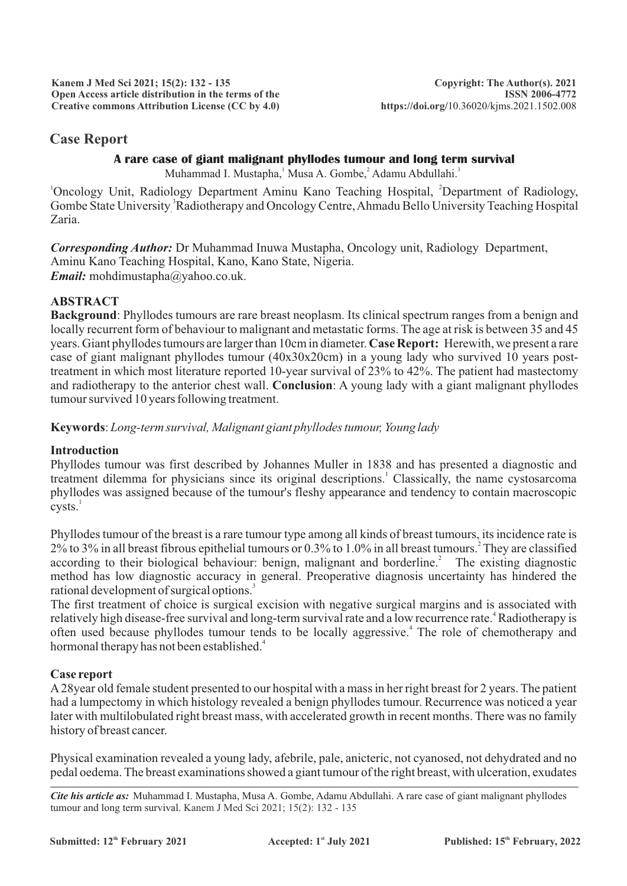**Kanem J Med Sci 2021; 15(2): 132 - 135 Open Access article distribution in the terms of the Creative commons Attribution License (CC by 4.0)**

# **Case Report**

#### **A rare case of giant malignant phyllodes tumour and long term survival**

Muhammad I. Mustapha, Musa A. Gombe, Adamu Abdullahi.<sup>3</sup>

<sup>1</sup>Oncology Unit, Radiology Department Aminu Kano Teaching Hospital, <sup>2</sup>Department of Radiology, Gombe State University <sup>3</sup> Radiotherapy and Oncology Centre, Ahmadu Bello University Teaching Hospital Zaria.

*Corresponding Author:* Dr Muhammad Inuwa Mustapha, Oncology unit, Radiology Department, Aminu Kano Teaching Hospital, Kano, Kano State, Nigeria. *Email:* mohdimustapha@yahoo.co.uk.

## **ABSTRACT**

**Background**: Phyllodes tumours are rare breast neoplasm. Its clinical spectrum ranges from a benign and locally recurrent form of behaviour to malignant and metastatic forms. The age at risk is between 35 and 45 years. Giant phyllodes tumours are larger than 10cm in diameter. **Case Report:** Herewith, we present a rare case of giant malignant phyllodes tumour  $(40x30x20cm)$  in a young lady who survived 10 years posttreatment in which most literature reported 10-year survival of 23% to 42%. The patient had mastectomy and radiotherapy to the anterior chest wall. **Conclusion**: A young lady with a giant malignant phyllodes tumour survived 10 years following treatment.

**Keywords**: *Long-term survival, Malignant giant phyllodes tumour, Young lady*

### **Introduction**

Phyllodes tumour was first described by Johannes Muller in 1838 and has presented a diagnostic and treatment dilemma for physicians since its original descriptions.<sup>1</sup> Classically, the name cystosarcoma phyllodes was assigned because of the tumour's fleshy appearance and tendency to contain macroscopic  $cysts.<sup>1</sup>$ 

Phyllodes tumour of the breast is a rare tumour type among all kinds of breast tumours, its incidence rate is 2 2% to 3% in all breast fibrous epithelial tumours or 0.3% to 1.0% in all breast tumours. They are classified according to their biological behaviour: benign, malignant and borderline.<sup>2</sup> The existing diagnostic method has low diagnostic accuracy in general. Preoperative diagnosis uncertainty has hindered the rational development of surgical options.<sup>3</sup>

The first treatment of choice is surgical excision with negative surgical margins and is associated with relatively high disease-free survival and long-term survival rate and a low recurrence rate.<sup>4</sup> Radiotherapy is often used because phyllodes tumour tends to be locally aggressive.<sup>4</sup> The role of chemotherapy and hormonal therapy has not been established.<sup>4</sup>

### **Case report**

A28year old female student presented to our hospital with a mass in her right breast for 2 years. The patient had a lumpectomy in which histology revealed a benign phyllodes tumour. Recurrence was noticed a year later with multilobulated right breast mass, with accelerated growth in recent months. There was no family history of breast cancer.

Physical examination revealed a young lady, afebrile, pale, anicteric, not cyanosed, not dehydrated and no pedal oedema. The breast examinations showed a giant tumour of the right breast, with ulceration, exudates

*Cite his article as:* Muhammad I. Mustapha, Musa A. Gombe, Adamu Abdullahi. A rare case of giant malignant phyllodes tumour and long term survival. Kanem J Med Sci 2021; 15(2): 132 - 135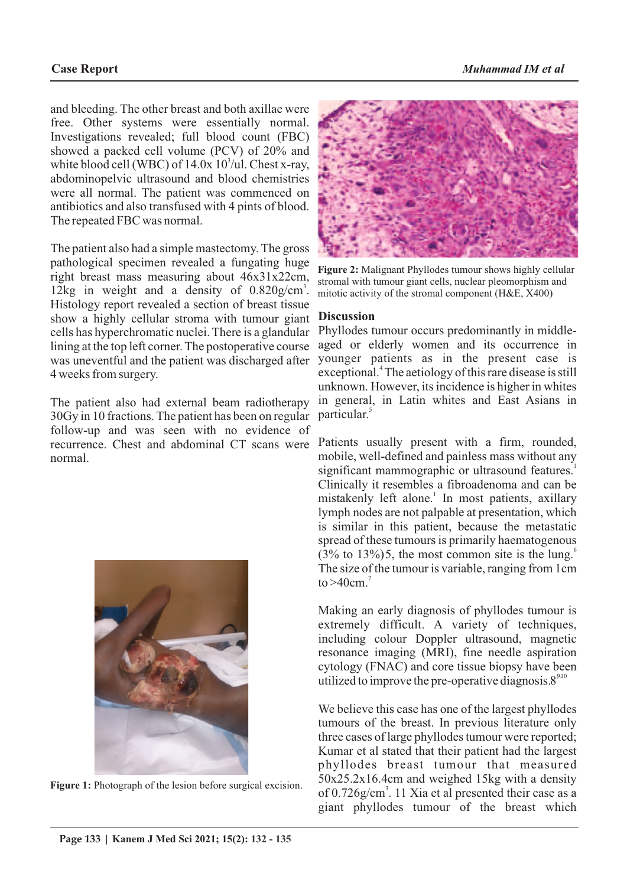and bleeding. The other breast and both axillae were free. Other systems were essentially normal. Investigations revealed; full blood count (FBC) showed a packed cell volume (PCV) of 20% and white blood cell (WBC) of  $14.0x \frac{10^3}{u}$ . Chest x-ray, abdominopelvic ultrasound and blood chemistries were all normal. The patient was commenced on antibiotics and also transfused with 4 pints of blood. The repeated FBC was normal.

The patient also had a simple mastectomy. The gross pathological specimen revealed a fungating huge right breast mass measuring about 46x31x22cm, 12kg in weight and a density of  $0.820$ g/cm<sup>3</sup>. Histology report revealed a section of breast tissue show a highly cellular stroma with tumour giant cells has hyperchromatic nuclei. There is a glandular lining at the top left corner. The postoperative course was uneventful and the patient was discharged after 4 weeks from surgery.

The patient also had external beam radiotherapy 30Gy in 10 fractions. The patient has been on regular follow-up and was seen with no evidence of recurrence. Chest and abdominal CT scans were normal.



Figure 1: Photograph of the lesion before surgical excision.



**Figure 2:** Malignant Phyllodes tumour shows highly cellular stromal with tumour giant cells, nuclear pleomorphism and mitotic activity of the stromal component (H&E, X400)

#### **Discussion**

Phyllodes tumour occurs predominantly in middleaged or elderly women and its occurrence in younger patients as in the present case is exceptional.<sup>4</sup> The aetiology of this rare disease is still unknown. However, its incidence is higher in whites in general, in Latin whites and East Asians in particular.<sup>5</sup>

Patients usually present with a firm, rounded, mobile, well-defined and painless mass without any significant mammographic or ultrasound features.<sup>1</sup> Clinically it resembles a fibroadenoma and can be mistakenly left alone.<sup>1</sup> In most patients, axillary lymph nodes are not palpable at presentation, which is similar in this patient, because the metastatic spread of these tumours is primarily haematogenous  $(3\%$  to 13%)5, the most common site is the lung. The size of the tumour is variable, ranging from 1cm to  $>40$ cm.<sup>7</sup>

Making an early diagnosis of phyllodes tumour is extremely difficult. A variety of techniques, including colour Doppler ultrasound, magnetic resonance imaging (MRI), fine needle aspiration cytology (FNAC) and core tissue biopsy have been utilized to improve the pre-operative diagnosis. $8^{9,10}$ 

We believe this case has one of the largest phyllodes tumours of the breast. In previous literature only three cases of large phyllodes tumour were reported; Kumar et al stated that their patient had the largest phyllodes breast tumour that measured 50x25.2x16.4cm and weighed 15kg with a density of 0.726g/cm<sup>3</sup>. 11 Xia et al presented their case as a giant phyllodes tumour of the breast which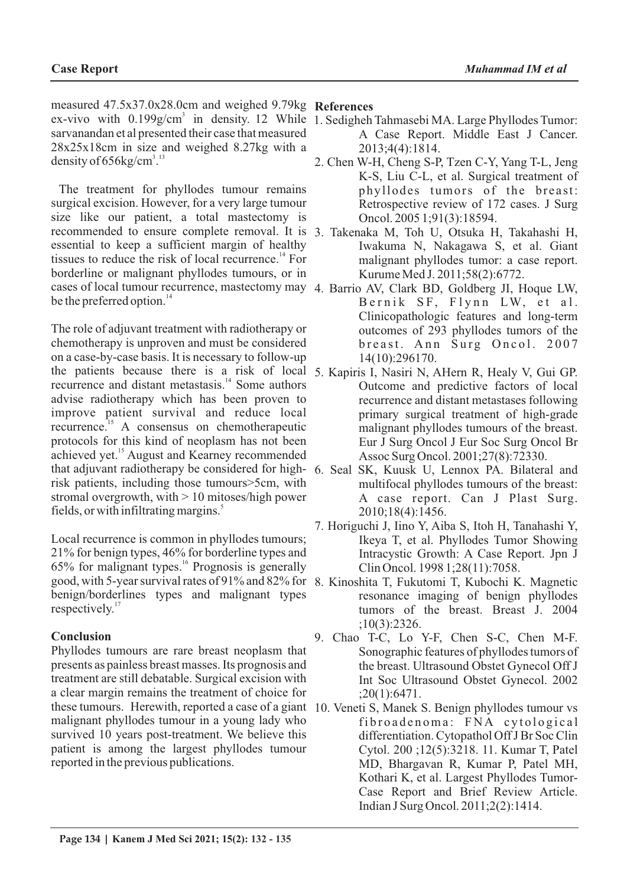measured 47.5x37.0x28.0cm and weighed 9.79kg **References** ex-vivo with  $0.199$ g/cm<sup>3</sup> in density. 12 While 1. Sedigheh Tahmasebi MA. Large Phyllodes Tumor: sarvanandan et al presented their case that measured 28x25x18cm in size and weighed 8.27kg with a density of  $656kg/cm<sup>3,13</sup>$ 

The treatment for phyllodes tumour remains surgical excision. However, for a very large tumour size like our patient, a total mastectomy is recommended to ensure complete removal. It is 3. Takenaka M, Toh U, Otsuka H, Takahashi H, essential to keep a sufficient margin of healthy tissues to reduce the risk of local recurrence. $14$  For borderline or malignant phyllodes tumours, or in cases of local tumour recurrence, mastectomy may 4. Barrio AV, Clark BD, Goldberg JI, Hoque LW, be the preferred option.<sup>14</sup>

The role of adjuvant treatment with radiotherapy or chemotherapy is unproven and must be considered on a case-by-case basis. It is necessary to follow-up the patients because there is a risk of local 5. Kapiris I, Nasiri N, AHern R, Healy V, Gui GP. recurrence and distant metastasis.<sup>14</sup> Some authors advise radiotherapy which has been proven to improve patient survival and reduce local recurrence.<sup>15</sup> A consensus on chemotherapeutic protocols for this kind of neoplasm has not been achieved yet.<sup>15</sup> August and Kearney recommended that adjuvant radiotherapy be considered for high-6. Seal SK, Kuusk U, Lennox PA. Bilateral and risk patients, including those tumours>5cm, with stromal overgrowth, with > 10 mitoses/high power fields, or with infiltrating margins.<sup>5</sup>

Local recurrence is common in phyllodes tumours; 21% for benign types, 46% for borderline types and <sup>16</sup> 65% for malignant types. Prognosis is generally good, with 5-year survival rates of 91% and 82% for 8. Kinoshita T, Fukutomi T, Kubochi K. Magnetic benign/borderlines types and malignant types respectively. $17$ 

### **Conclusion**

Phyllodes tumours are rare breast neoplasm that presents as painless breast masses. Its prognosis and treatment are still debatable. Surgical excision with a clear margin remains the treatment of choice for these tumours. Herewith, reported a case of a giant 10. Veneti S, Manek S. Benign phyllodes tumour vs malignant phyllodes tumour in a young lady who survived 10 years post-treatment. We believe this patient is among the largest phyllodes tumour reported in the previous publications.

- A Case Report. Middle East J Cancer. 2013;4(4):1814.
- 2. Chen W-H, Cheng S-P, Tzen C-Y, Yang T-L, Jeng K-S, Liu C-L, et al. Surgical treatment of phyllodes tumors of the breast: Retrospective review of 172 cases. J Surg Oncol. 2005 1;91(3):18594.
- Iwakuma N, Nakagawa S, et al. Giant malignant phyllodes tumor: a case report. Kurume Med J. 2011;58(2):6772.
- Bernik SF, Flynn LW, et al. Clinicopathologic features and long-term outcomes of 293 phyllodes tumors of the breast. Ann Surg Oncol. 2007 14(10):296170.
- Outcome and predictive factors of local recurrence and distant metastases following primary surgical treatment of high-grade malignant phyllodes tumours of the breast. Eur J Surg Oncol J Eur Soc Surg Oncol Br Assoc Surg Oncol. 2001;27(8):72330.
- multifocal phyllodes tumours of the breast: A case report. Can J Plast Surg. 2010;18(4):1456.
- 7. Horiguchi J, Iino Y, Aiba S, Itoh H, Tanahashi Y, Ikeya T, et al. Phyllodes Tumor Showing Intracystic Growth: A Case Report. Jpn J Clin Oncol. 1998 1;28(11):7058.
	- resonance imaging of benign phyllodes tumors of the breast. Breast J. 2004 ;10(3):2326.
- 9. Chao T-C, Lo Y-F, Chen S-C, Chen M-F. Sonographic features of phyllodes tumors of the breast. Ultrasound Obstet Gynecol Off J Int Soc Ultrasound Obstet Gynecol. 2002 ;20(1):6471.
- fibroadenoma: FNA cytological differentiation. Cytopathol Off J Br Soc Clin Cytol. 200 ;12(5):3218. 11. Kumar T, Patel MD, Bhargavan R, Kumar P, Patel MH, Kothari K, et al. Largest Phyllodes Tumor-Case Report and Brief Review Article. Indian J Surg Oncol. 2011;2(2):1414.